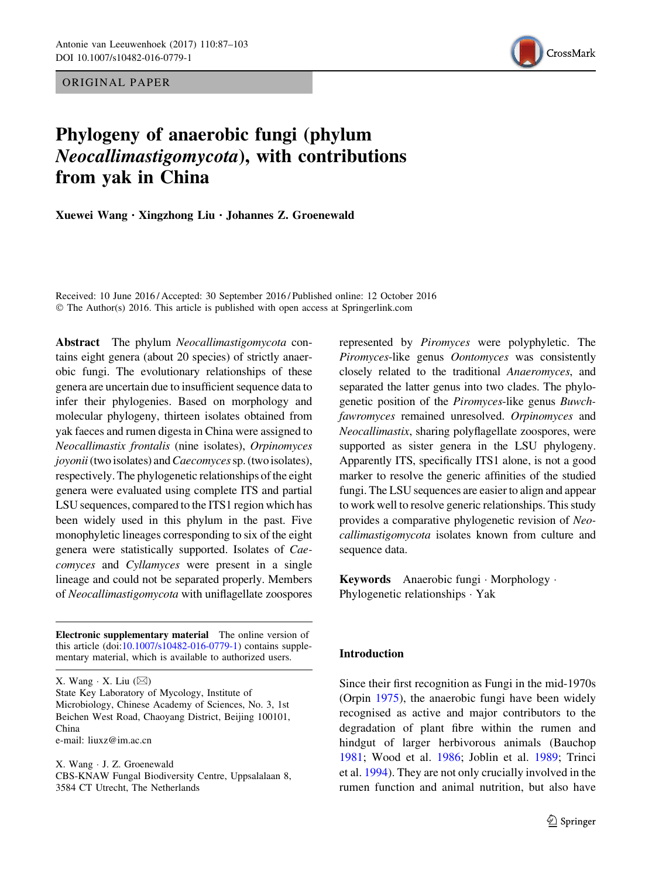ORIGINAL PAPER



# Phylogeny of anaerobic fungi (phylum Neocallimastigomycota), with contributions from yak in China

Xuewei Wang . Xingzhong Liu . Johannes Z. Groenewald

Received: 10 June 2016 / Accepted: 30 September 2016 / Published online: 12 October 2016 © The Author(s) 2016. This article is published with open access at Springerlink.com

Abstract The phylum Neocallimastigomycota contains eight genera (about 20 species) of strictly anaerobic fungi. The evolutionary relationships of these genera are uncertain due to insufficient sequence data to infer their phylogenies. Based on morphology and molecular phylogeny, thirteen isolates obtained from yak faeces and rumen digesta in China were assigned to Neocallimastix frontalis (nine isolates), Orpinomyces joyonii (two isolates) and Caecomyces sp. (two isolates), respectively. The phylogenetic relationships of the eight genera were evaluated using complete ITS and partial LSU sequences, compared to the ITS1 region which has been widely used in this phylum in the past. Five monophyletic lineages corresponding to six of the eight genera were statistically supported. Isolates of Caecomyces and Cyllamyces were present in a single lineage and could not be separated properly. Members of Neocallimastigomycota with uniflagellate zoospores

Electronic supplementary material The online version of this article (doi[:10.1007/s10482-016-0779-1\)](http://dx.doi.org/10.1007/s10482-016-0779-1) contains supplementary material, which is available to authorized users.

X. Wang  $\cdot$  X. Liu  $(\boxtimes)$ 

State Key Laboratory of Mycology, Institute of Microbiology, Chinese Academy of Sciences, No. 3, 1st Beichen West Road, Chaoyang District, Beijing 100101, China

e-mail: liuxz@im.ac.cn

X. Wang - J. Z. Groenewald CBS-KNAW Fungal Biodiversity Centre, Uppsalalaan 8, 3584 CT Utrecht, The Netherlands

represented by Piromyces were polyphyletic. The Piromyces-like genus Oontomyces was consistently closely related to the traditional Anaeromyces, and separated the latter genus into two clades. The phylogenetic position of the Piromyces-like genus Buwchfawromyces remained unresolved. Orpinomyces and Neocallimastix, sharing polyflagellate zoospores, were supported as sister genera in the LSU phylogeny. Apparently ITS, specifically ITS1 alone, is not a good marker to resolve the generic affinities of the studied fungi. The LSU sequences are easier to align and appear to work well to resolve generic relationships. This study provides a comparative phylogenetic revision of Neocallimastigomycota isolates known from culture and sequence data.

Keywords Anaerobic fungi - Morphology - Phylogenetic relationships - Yak

# Introduction

Since their first recognition as Fungi in the mid-1970s (Orpin [1975](#page-15-0)), the anaerobic fungi have been widely recognised as active and major contributors to the degradation of plant fibre within the rumen and hindgut of larger herbivorous animals (Bauchop [1981;](#page-14-0) Wood et al. [1986;](#page-16-0) Joblin et al. [1989;](#page-14-0) Trinci et al. [1994\)](#page-15-0). They are not only crucially involved in the rumen function and animal nutrition, but also have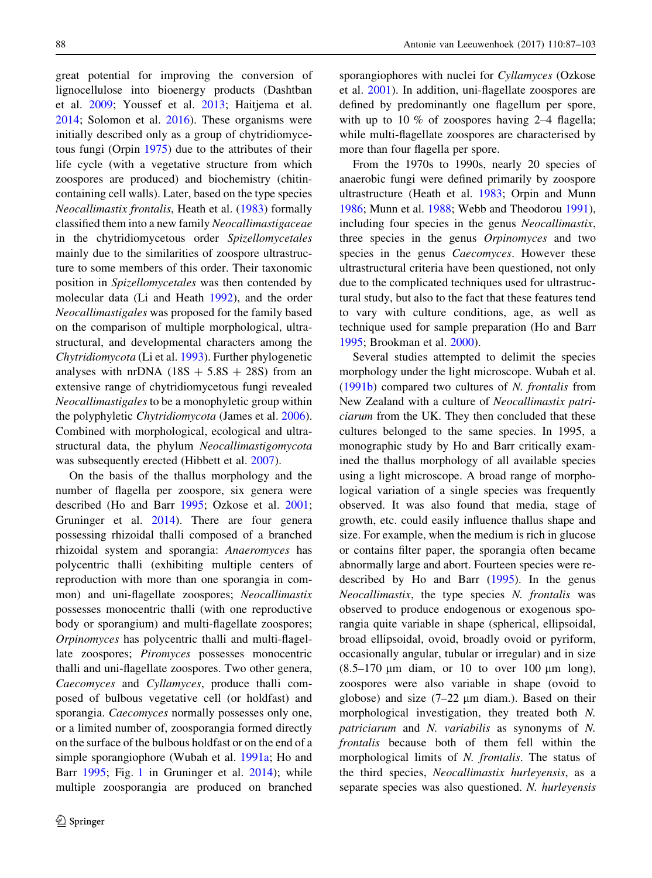great potential for improving the conversion of lignocellulose into bioenergy products (Dashtban et al. [2009;](#page-14-0) Youssef et al. [2013](#page-16-0); Haitjema et al. [2014;](#page-14-0) Solomon et al. [2016](#page-15-0)). These organisms were initially described only as a group of chytridiomycetous fungi (Orpin [1975\)](#page-15-0) due to the attributes of their life cycle (with a vegetative structure from which zoospores are produced) and biochemistry (chitincontaining cell walls). Later, based on the type species Neocallimastix frontalis, Heath et al. ([1983\)](#page-14-0) formally classified them into a new family Neocallimastigaceae in the chytridiomycetous order Spizellomycetales mainly due to the similarities of zoospore ultrastructure to some members of this order. Their taxonomic position in Spizellomycetales was then contended by molecular data (Li and Heath [1992\)](#page-15-0), and the order Neocallimastigales was proposed for the family based on the comparison of multiple morphological, ultrastructural, and developmental characters among the Chytridiomycota (Li et al. [1993](#page-15-0)). Further phylogenetic analyses with nrDNA  $(18S + 5.8S + 28S)$  from an extensive range of chytridiomycetous fungi revealed Neocallimastigales to be a monophyletic group within the polyphyletic Chytridiomycota (James et al. [2006](#page-14-0)). Combined with morphological, ecological and ultrastructural data, the phylum Neocallimastigomycota was subsequently erected (Hibbett et al. [2007\)](#page-14-0).

On the basis of the thallus morphology and the number of flagella per zoospore, six genera were described (Ho and Barr [1995](#page-14-0); Ozkose et al. [2001](#page-15-0); Gruninger et al. [2014](#page-14-0)). There are four genera possessing rhizoidal thalli composed of a branched rhizoidal system and sporangia: Anaeromyces has polycentric thalli (exhibiting multiple centers of reproduction with more than one sporangia in common) and uni-flagellate zoospores; Neocallimastix possesses monocentric thalli (with one reproductive body or sporangium) and multi-flagellate zoospores; Orpinomyces has polycentric thalli and multi-flagellate zoospores; Piromyces possesses monocentric thalli and uni-flagellate zoospores. Two other genera, Caecomyces and Cyllamyces, produce thalli composed of bulbous vegetative cell (or holdfast) and sporangia. Caecomyces normally possesses only one, or a limited number of, zoosporangia formed directly on the surface of the bulbous holdfast or on the end of a simple sporangiophore (Wubah et al. [1991a](#page-16-0); Ho and Barr [1995](#page-14-0); Fig. [1](#page-5-0) in Gruninger et al. [2014](#page-14-0)); while multiple zoosporangia are produced on branched

sporangiophores with nuclei for Cyllamyces (Ozkose et al. [2001\)](#page-15-0). In addition, uni-flagellate zoospores are defined by predominantly one flagellum per spore, with up to 10 % of zoospores having 2–4 flagella; while multi-flagellate zoospores are characterised by more than four flagella per spore.

From the 1970s to 1990s, nearly 20 species of anaerobic fungi were defined primarily by zoospore ultrastructure (Heath et al. [1983;](#page-14-0) Orpin and Munn [1986;](#page-15-0) Munn et al. [1988;](#page-15-0) Webb and Theodorou [1991](#page-15-0)), including four species in the genus Neocallimastix, three species in the genus Orpinomyces and two species in the genus *Caecomyces*. However these ultrastructural criteria have been questioned, not only due to the complicated techniques used for ultrastructural study, but also to the fact that these features tend to vary with culture conditions, age, as well as technique used for sample preparation (Ho and Barr [1995;](#page-14-0) Brookman et al. [2000](#page-14-0)).

Several studies attempted to delimit the species morphology under the light microscope. Wubah et al. [\(1991b](#page-16-0)) compared two cultures of N. frontalis from New Zealand with a culture of Neocallimastix patriciarum from the UK. They then concluded that these cultures belonged to the same species. In 1995, a monographic study by Ho and Barr critically examined the thallus morphology of all available species using a light microscope. A broad range of morphological variation of a single species was frequently observed. It was also found that media, stage of growth, etc. could easily influence thallus shape and size. For example, when the medium is rich in glucose or contains filter paper, the sporangia often became abnormally large and abort. Fourteen species were redescribed by Ho and Barr [\(1995](#page-14-0)). In the genus Neocallimastix, the type species N. frontalis was observed to produce endogenous or exogenous sporangia quite variable in shape (spherical, ellipsoidal, broad ellipsoidal, ovoid, broadly ovoid or pyriform, occasionally angular, tubular or irregular) and in size  $(8.5-170 \mu m)$  diam, or 10 to over 100  $\mu$ m long), zoospores were also variable in shape (ovoid to globose) and size  $(7-22 \mu m \text{ diam.})$ . Based on their morphological investigation, they treated both N. patriciarum and N. variabilis as synonyms of N. frontalis because both of them fell within the morphological limits of N. frontalis. The status of the third species, Neocallimastix hurleyensis, as a separate species was also questioned. N. hurleyensis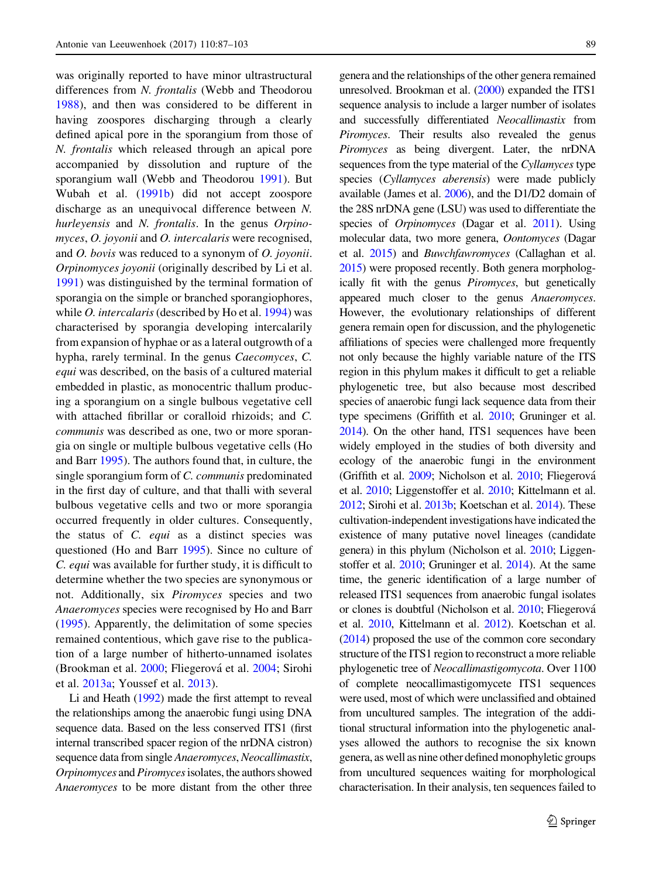was originally reported to have minor ultrastructural differences from N. frontalis (Webb and Theodorou [1988\)](#page-15-0), and then was considered to be different in having zoospores discharging through a clearly defined apical pore in the sporangium from those of N. frontalis which released through an apical pore accompanied by dissolution and rupture of the sporangium wall (Webb and Theodorou [1991\)](#page-15-0). But Wubah et al. ([1991b\)](#page-16-0) did not accept zoospore discharge as an unequivocal difference between N. hurleyensis and N. frontalis. In the genus Orpinomyces, O. joyonii and O. intercalaris were recognised, and O. bovis was reduced to a synonym of O. joyonii. Orpinomyces joyonii (originally described by Li et al. [1991\)](#page-15-0) was distinguished by the terminal formation of sporangia on the simple or branched sporangiophores, while *O. intercalaris* (described by Ho et al. [1994](#page-14-0)) was characterised by sporangia developing intercalarily from expansion of hyphae or as a lateral outgrowth of a hypha, rarely terminal. In the genus Caecomyces, C. equi was described, on the basis of a cultured material embedded in plastic, as monocentric thallum producing a sporangium on a single bulbous vegetative cell with attached fibrillar or coralloid rhizoids; and C. communis was described as one, two or more sporangia on single or multiple bulbous vegetative cells (Ho and Barr [1995\)](#page-14-0). The authors found that, in culture, the single sporangium form of C. communis predominated in the first day of culture, and that thalli with several bulbous vegetative cells and two or more sporangia occurred frequently in older cultures. Consequently, the status of C. equi as a distinct species was questioned (Ho and Barr [1995\)](#page-14-0). Since no culture of C. equi was available for further study, it is difficult to determine whether the two species are synonymous or not. Additionally, six Piromyces species and two Anaeromyces species were recognised by Ho and Barr [\(1995](#page-14-0)). Apparently, the delimitation of some species remained contentious, which gave rise to the publication of a large number of hitherto-unnamed isolates (Brookman et al. [2000;](#page-14-0) Fliegerová et al. [2004](#page-14-0); Sirohi et al. [2013a;](#page-15-0) Youssef et al. [2013](#page-16-0)).

Li and Heath [\(1992\)](#page-15-0) made the first attempt to reveal the relationships among the anaerobic fungi using DNA sequence data. Based on the less conserved ITS1 (first internal transcribed spacer region of the nrDNA cistron) sequence data from single Anaeromyces, Neocallimastix, Orpinomyces and Piromycesisolates, the authors showed Anaeromyces to be more distant from the other three genera and the relationships of the other genera remained unresolved. Brookman et al. [\(2000](#page-14-0)) expanded the ITS1 sequence analysis to include a larger number of isolates and successfully differentiated Neocallimastix from Piromyces. Their results also revealed the genus Piromyces as being divergent. Later, the nrDNA sequences from the type material of the Cyllamyces type species (Cyllamyces aberensis) were made publicly available (James et al. [2006](#page-14-0)), and the D1/D2 domain of the 28S nrDNA gene (LSU) was used to differentiate the species of *Orpinomyces* (Dagar et al. [2011](#page-14-0)). Using molecular data, two more genera, Oontomyces (Dagar et al. [2015\)](#page-14-0) and Buwchfawromyces (Callaghan et al. [2015](#page-14-0)) were proposed recently. Both genera morphologically fit with the genus Piromyces, but genetically appeared much closer to the genus Anaeromyces. However, the evolutionary relationships of different genera remain open for discussion, and the phylogenetic affiliations of species were challenged more frequently not only because the highly variable nature of the ITS region in this phylum makes it difficult to get a reliable phylogenetic tree, but also because most described species of anaerobic fungi lack sequence data from their type specimens (Griffith et al. [2010](#page-14-0); Gruninger et al. [2014](#page-14-0)). On the other hand, ITS1 sequences have been widely employed in the studies of both diversity and ecology of the anaerobic fungi in the environment (Griffith et al. [2009](#page-14-0); Nicholson et al. [2010](#page-15-0); Fliegerová et al. [2010](#page-14-0); Liggenstoffer et al. [2010;](#page-15-0) Kittelmann et al. [2012](#page-14-0); Sirohi et al. [2013b](#page-15-0); Koetschan et al. [2014](#page-14-0)). These cultivation-independent investigations have indicated the existence of many putative novel lineages (candidate genera) in this phylum (Nicholson et al. [2010;](#page-15-0) Liggenstoffer et al. [2010](#page-15-0); Gruninger et al. [2014](#page-14-0)). At the same time, the generic identification of a large number of released ITS1 sequences from anaerobic fungal isolates or clones is doubtful (Nicholson et al. [2010;](#page-15-0) Fliegerová et al. [2010](#page-14-0), Kittelmann et al. [2012\)](#page-14-0). Koetschan et al. [\(2014](#page-14-0)) proposed the use of the common core secondary structure of the ITS1 region to reconstruct a more reliable phylogenetic tree of Neocallimastigomycota. Over 1100 of complete neocallimastigomycete ITS1 sequences were used, most of which were unclassified and obtained from uncultured samples. The integration of the additional structural information into the phylogenetic analyses allowed the authors to recognise the six known genera, as well as nine other defined monophyletic groups from uncultured sequences waiting for morphological characterisation. In their analysis, ten sequences failed to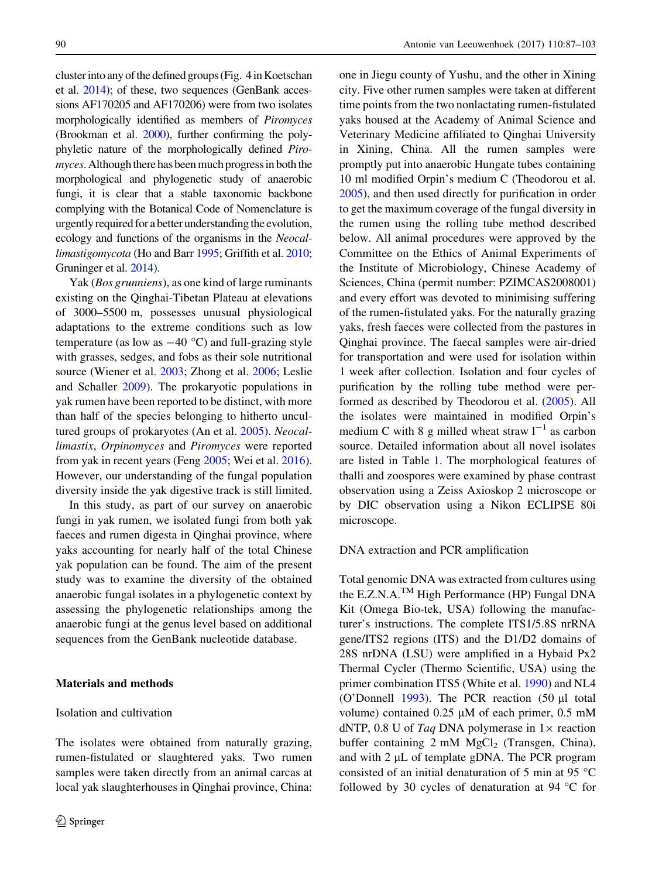cluster into any of the defined groups (Fig. 4 in Koetschan et al. [2014](#page-14-0)); of these, two sequences (GenBank accessions AF170205 and AF170206) were from two isolates morphologically identified as members of Piromyces (Brookman et al. [2000](#page-14-0)), further confirming the polyphyletic nature of the morphologically defined Piromyces. Although there has been much progress in both the morphological and phylogenetic study of anaerobic fungi, it is clear that a stable taxonomic backbone complying with the Botanical Code of Nomenclature is urgently required for a better understanding the evolution, ecology and functions of the organisms in the Neocal-limastigomycota (Ho and Barr [1995;](#page-14-0) Griffith et al. [2010](#page-14-0); Gruninger et al. [2014\)](#page-14-0).

Yak (Bos grunniens), as one kind of large ruminants existing on the Qinghai-Tibetan Plateau at elevations of 3000–5500 m, possesses unusual physiological adaptations to the extreme conditions such as low temperature (as low as  $-40$  °C) and full-grazing style with grasses, sedges, and fobs as their sole nutritional source (Wiener et al. [2003](#page-16-0); Zhong et al. [2006;](#page-16-0) Leslie and Schaller [2009\)](#page-15-0). The prokaryotic populations in yak rumen have been reported to be distinct, with more than half of the species belonging to hitherto uncultured groups of prokaryotes (An et al. [2005\)](#page-13-0). Neocallimastix, Orpinomyces and Piromyces were reported from yak in recent years (Feng [2005;](#page-14-0) Wei et al. [2016](#page-15-0)). However, our understanding of the fungal population diversity inside the yak digestive track is still limited.

In this study, as part of our survey on anaerobic fungi in yak rumen, we isolated fungi from both yak faeces and rumen digesta in Qinghai province, where yaks accounting for nearly half of the total Chinese yak population can be found. The aim of the present study was to examine the diversity of the obtained anaerobic fungal isolates in a phylogenetic context by assessing the phylogenetic relationships among the anaerobic fungi at the genus level based on additional sequences from the GenBank nucleotide database.

## Materials and methods

## Isolation and cultivation

The isolates were obtained from naturally grazing, rumen-fistulated or slaughtered yaks. Two rumen samples were taken directly from an animal carcas at local yak slaughterhouses in Qinghai province, China: one in Jiegu county of Yushu, and the other in Xining city. Five other rumen samples were taken at different time points from the two nonlactating rumen-fistulated yaks housed at the Academy of Animal Science and Veterinary Medicine affiliated to Qinghai University in Xining, China. All the rumen samples were promptly put into anaerobic Hungate tubes containing 10 ml modified Orpin's medium C (Theodorou et al. [2005\)](#page-15-0), and then used directly for purification in order to get the maximum coverage of the fungal diversity in the rumen using the rolling tube method described below. All animal procedures were approved by the Committee on the Ethics of Animal Experiments of the Institute of Microbiology, Chinese Academy of Sciences, China (permit number: PZIMCAS2008001) and every effort was devoted to minimising suffering of the rumen-fistulated yaks. For the naturally grazing yaks, fresh faeces were collected from the pastures in Qinghai province. The faecal samples were air-dried for transportation and were used for isolation within 1 week after collection. Isolation and four cycles of purification by the rolling tube method were performed as described by Theodorou et al. [\(2005](#page-15-0)). All the isolates were maintained in modified Orpin's medium C with 8 g milled wheat straw  $1^{-1}$  as carbon source. Detailed information about all novel isolates are listed in Table [1.](#page-4-0) The morphological features of thalli and zoospores were examined by phase contrast observation using a Zeiss Axioskop 2 microscope or by DIC observation using a Nikon ECLIPSE 80i microscope.

### DNA extraction and PCR amplification

Total genomic DNA was extracted from cultures using the E.Z.N.A.TM High Performance (HP) Fungal DNA Kit (Omega Bio-tek, USA) following the manufacturer's instructions. The complete ITS1/5.8S nrRNA gene/ITS2 regions (ITS) and the D1/D2 domains of 28S nrDNA (LSU) were amplified in a Hybaid Px2 Thermal Cycler (Thermo Scientific, USA) using the primer combination ITS5 (White et al. [1990\)](#page-15-0) and NL4 (O'Donnell  $1993$ ). The PCR reaction (50  $\mu$ l total volume) contained  $0.25 \mu M$  of each primer,  $0.5 \mu M$ dNTP, 0.8 U of Taq DNA polymerase in  $1 \times$  reaction buffer containing  $2 \text{ mM } MgCl<sub>2</sub>$  (Transgen, China), and with  $2 \mu L$  of template gDNA. The PCR program consisted of an initial denaturation of 5 min at 95  $^{\circ}$ C followed by 30 cycles of denaturation at 94  $\degree$ C for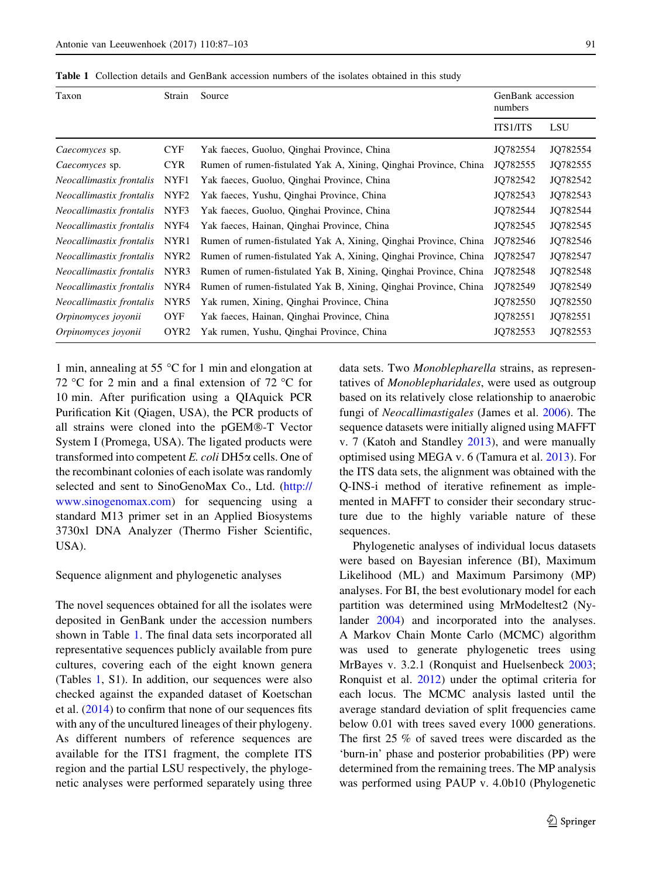<span id="page-4-0"></span>Table 1 Collection details and GenBank accession numbers of the isolates obtained in this study

| Taxon                    | Strain           | Source                                                           | GenBank accession<br>numbers |          |
|--------------------------|------------------|------------------------------------------------------------------|------------------------------|----------|
|                          |                  |                                                                  | <b>ITS1/ITS</b>              | LSU      |
| Caecomyces sp.           | <b>CYF</b>       | Yak faeces, Guoluo, Qinghai Province, China                      | JO782554                     | JQ782554 |
| Caecomyces sp.           | <b>CYR</b>       | Rumen of rumen-fistulated Yak A, Xining, Qinghai Province, China | JO782555                     | JQ782555 |
| Neocallimastix frontalis | NYF1             | Yak faeces, Guoluo, Qinghai Province, China                      | JQ782542                     | JQ782542 |
| Neocallimastix frontalis | NYF2             | Yak faeces, Yushu, Qinghai Province, China                       | JO782543                     | JQ782543 |
| Neocallimastix frontalis | NYF3             | Yak faeces, Guoluo, Qinghai Province, China                      | JQ782544                     | JQ782544 |
| Neocallimastix frontalis | NYF4             | Yak faeces, Hainan, Qinghai Province, China                      | JQ782545                     | JQ782545 |
| Neocallimastix frontalis | NYR1             | Rumen of rumen-fistulated Yak A, Xining, Qinghai Province, China | JQ782546                     | JQ782546 |
| Neocallimastix frontalis | NYR2             | Rumen of rumen-fistulated Yak A, Xining, Qinghai Province, China | JQ782547                     | JQ782547 |
| Neocallimastix frontalis | NYR3             | Rumen of rumen-fistulated Yak B, Xining, Qinghai Province, China | JQ782548                     | JQ782548 |
| Neocallimastix frontalis | NYR4             | Rumen of rumen-fistulated Yak B, Xining, Qinghai Province, China | JO782549                     | JO782549 |
| Neocallimastix frontalis | NYR5             | Yak rumen, Xining, Qinghai Province, China                       | JQ782550                     | JQ782550 |
| Orpinomyces joyonii      | <b>OYF</b>       | Yak faeces, Hainan, Qinghai Province, China                      | JQ782551                     | JQ782551 |
| Orpinomyces joyonii      | OYR <sub>2</sub> | Yak rumen, Yushu, Qinghai Province, China                        | JQ782553                     | JQ782553 |

1 min, annealing at 55  $\degree$ C for 1 min and elongation at 72 °C for 2 min and a final extension of 72 °C for 10 min. After purification using a QIAquick PCR Purification Kit (Qiagen, USA), the PCR products of all strains were cloned into the pGEM®-T Vector System I (Promega, USA). The ligated products were transformed into competent  $E$ . coli DH5 $\alpha$  cells. One of the recombinant colonies of each isolate was randomly selected and sent to SinoGenoMax Co., Ltd. [\(http://](http://www.sinogenomax.com) [www.sinogenomax.com\)](http://www.sinogenomax.com) for sequencing using a standard M13 primer set in an Applied Biosystems 3730xl DNA Analyzer (Thermo Fisher Scientific, USA).

#### Sequence alignment and phylogenetic analyses

The novel sequences obtained for all the isolates were deposited in GenBank under the accession numbers shown in Table 1. The final data sets incorporated all representative sequences publicly available from pure cultures, covering each of the eight known genera (Tables 1, S1). In addition, our sequences were also checked against the expanded dataset of Koetschan et al. ([2014\)](#page-14-0) to confirm that none of our sequences fits with any of the uncultured lineages of their phylogeny. As different numbers of reference sequences are available for the ITS1 fragment, the complete ITS region and the partial LSU respectively, the phylogenetic analyses were performed separately using three data sets. Two Monoblepharella strains, as representatives of Monoblepharidales, were used as outgroup based on its relatively close relationship to anaerobic fungi of Neocallimastigales (James et al. [2006\)](#page-14-0). The sequence datasets were initially aligned using MAFFT v. 7 (Katoh and Standley [2013](#page-14-0)), and were manually optimised using MEGA v. 6 (Tamura et al. [2013](#page-15-0)). For the ITS data sets, the alignment was obtained with the Q-INS-i method of iterative refinement as implemented in MAFFT to consider their secondary structure due to the highly variable nature of these sequences.

Phylogenetic analyses of individual locus datasets were based on Bayesian inference (BI), Maximum Likelihood (ML) and Maximum Parsimony (MP) analyses. For BI, the best evolutionary model for each partition was determined using MrModeltest2 (Nylander [2004](#page-15-0)) and incorporated into the analyses. A Markov Chain Monte Carlo (MCMC) algorithm was used to generate phylogenetic trees using MrBayes v. 3.2.1 (Ronquist and Huelsenbeck [2003](#page-15-0); Ronquist et al. [2012](#page-15-0)) under the optimal criteria for each locus. The MCMC analysis lasted until the average standard deviation of split frequencies came below 0.01 with trees saved every 1000 generations. The first 25 % of saved trees were discarded as the 'burn-in' phase and posterior probabilities (PP) were determined from the remaining trees. The MP analysis was performed using PAUP v. 4.0b10 (Phylogenetic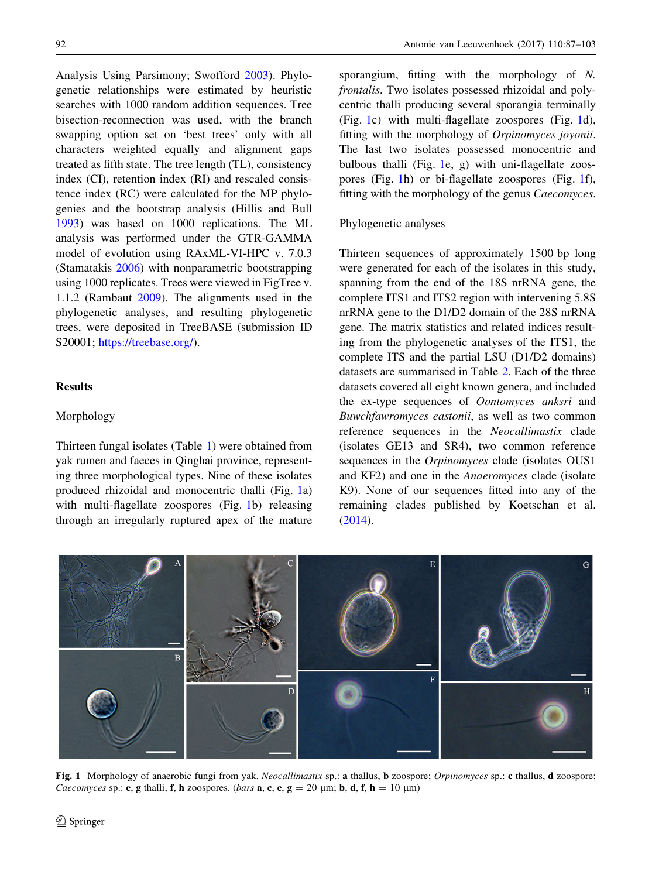<span id="page-5-0"></span>Analysis Using Parsimony; Swofford [2003\)](#page-15-0). Phylogenetic relationships were estimated by heuristic searches with 1000 random addition sequences. Tree bisection-reconnection was used, with the branch swapping option set on 'best trees' only with all characters weighted equally and alignment gaps treated as fifth state. The tree length (TL), consistency index (CI), retention index (RI) and rescaled consistence index (RC) were calculated for the MP phylogenies and the bootstrap analysis (Hillis and Bull [1993\)](#page-14-0) was based on 1000 replications. The ML analysis was performed under the GTR-GAMMA model of evolution using RAxML-VI-HPC v. 7.0.3 (Stamatakis [2006\)](#page-15-0) with nonparametric bootstrapping using 1000 replicates. Trees were viewed in FigTree v. 1.1.2 (Rambaut [2009](#page-15-0)). The alignments used in the phylogenetic analyses, and resulting phylogenetic trees, were deposited in TreeBASE (submission ID S20001; <https://treebase.org/>).

# **Results**

## Morphology

Thirteen fungal isolates (Table [1](#page-4-0)) were obtained from yak rumen and faeces in Qinghai province, representing three morphological types. Nine of these isolates produced rhizoidal and monocentric thalli (Fig. 1a) with multi-flagellate zoospores (Fig. 1b) releasing through an irregularly ruptured apex of the mature sporangium, fitting with the morphology of N. frontalis. Two isolates possessed rhizoidal and polycentric thalli producing several sporangia terminally (Fig. 1c) with multi-flagellate zoospores (Fig. 1d), fitting with the morphology of Orpinomyces joyonii. The last two isolates possessed monocentric and bulbous thalli (Fig. 1e, g) with uni-flagellate zoospores (Fig. 1h) or bi-flagellate zoospores (Fig. 1f), fitting with the morphology of the genus Caecomyces.

## Phylogenetic analyses

Thirteen sequences of approximately 1500 bp long were generated for each of the isolates in this study, spanning from the end of the 18S nrRNA gene, the complete ITS1 and ITS2 region with intervening 5.8S nrRNA gene to the D1/D2 domain of the 28S nrRNA gene. The matrix statistics and related indices resulting from the phylogenetic analyses of the ITS1, the complete ITS and the partial LSU (D1/D2 domains) datasets are summarised in Table [2.](#page-6-0) Each of the three datasets covered all eight known genera, and included the ex-type sequences of Oontomyces anksri and Buwchfawromyces eastonii, as well as two common reference sequences in the Neocallimastix clade (isolates GE13 and SR4), two common reference sequences in the Orpinomyces clade (isolates OUS1 and KF2) and one in the Anaeromyces clade (isolate K9). None of our sequences fitted into any of the remaining clades published by Koetschan et al. [\(2014](#page-14-0)).



Fig. 1 Morphology of anaerobic fungi from yak. Neocallimastix sp.: a thallus, b zoospore; Orpinomyces sp.: c thallus, d zoospore; *Caecomyces* sp.: **e**, g thalli, f, h zoospores. (*bars* a, c, e, g = 20  $\mu$ m; b, d, f, h = 10  $\mu$ m)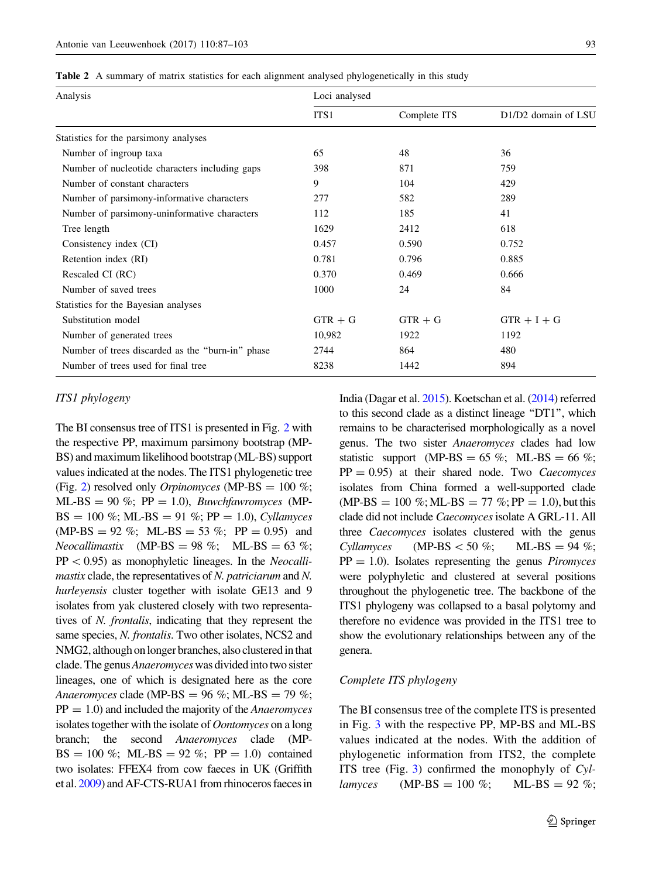<span id="page-6-0"></span>Table 2 A summary of matrix statistics for each alignment analysed phylogenetically in this study

| Analysis                                         | Loci analysed |              |                     |  |
|--------------------------------------------------|---------------|--------------|---------------------|--|
|                                                  | ITS1          | Complete ITS | D1/D2 domain of LSU |  |
| Statistics for the parsimony analyses            |               |              |                     |  |
| Number of ingroup taxa                           | 65            | 48           | 36                  |  |
| Number of nucleotide characters including gaps   | 398           | 871          | 759                 |  |
| Number of constant characters                    | 9             | 104          | 429                 |  |
| Number of parsimony-informative characters       | 277           | 582          | 289                 |  |
| Number of parsimony-uninformative characters     | 112           | 185          | 41                  |  |
| Tree length                                      | 1629          | 2412         | 618                 |  |
| Consistency index (CI)                           | 0.457         | 0.590        | 0.752               |  |
| Retention index (RI)                             | 0.781         | 0.796        | 0.885               |  |
| Rescaled CI (RC)                                 | 0.370         | 0.469        | 0.666               |  |
| Number of saved trees                            | 1000          | 24           | 84                  |  |
| Statistics for the Bayesian analyses             |               |              |                     |  |
| Substitution model                               | $GTR + G$     | $GTR + G$    | $GTR + I + G$       |  |
| Number of generated trees                        | 10,982        | 1922         | 1192                |  |
| Number of trees discarded as the "burn-in" phase | 2744          | 864          | 480                 |  |
| Number of trees used for final tree              | 8238          | 1442         | 894                 |  |

### ITS1 phylogeny

The BI consensus tree of ITS1 is presented in Fig. [2](#page-7-0) with the respective PP, maximum parsimony bootstrap (MP-BS) and maximum likelihood bootstrap (ML-BS) support values indicated at the nodes. The ITS1 phylogenetic tree (Fig. [2\)](#page-7-0) resolved only *Orpinomyces* (MP-BS =  $100\%$ ; ML-BS = 90 %;  $PP = 1.0$ ), *Buwchfawromyces* (MP- $BS = 100 \%$ ; ML-BS = 91 %; PP = 1.0), Cyllamyces  $(MP-BS = 92\%; ML-BS = 53\%; PP = 0.95)$  and Neocallimastix (MP-BS = 98 %; ML-BS = 63 %;  $PP<0.95$ ) as monophyletic lineages. In the *Neocalli*mastix clade, the representatives of N. patriciarum and N. hurleyensis cluster together with isolate GE13 and 9 isolates from yak clustered closely with two representatives of N. frontalis, indicating that they represent the same species, N. frontalis. Two other isolates, NCS2 and NMG2, although on longer branches, also clustered in that clade. The genus Anaeromyces was divided into two sister lineages, one of which is designated here as the core Anaeromyces clade (MP-BS = 96 %; ML-BS = 79 %;  $PP = 1.0$ ) and included the majority of the *Anaeromyces* isolates together with the isolate of Oontomyces on a long branch; the second Anaeromyces clade (MP- $BS = 100 \%$ ; ML-BS = 92 %; PP = 1.0) contained two isolates: FFEX4 from cow faeces in UK (Griffith et al. [2009\)](#page-14-0) and AF-CTS-RUA1 from rhinoceros faeces in India (Dagar et al. [2015\)](#page-14-0). Koetschan et al. [\(2014](#page-14-0)) referred to this second clade as a distinct lineage ''DT1'', which remains to be characterised morphologically as a novel genus. The two sister Anaeromyces clades had low statistic support (MP-BS = 65 %; ML-BS = 66 %;  $PP = 0.95$ ) at their shared node. Two *Caecomyces* isolates from China formed a well-supported clade  $(MP-BS = 100 \%; ML-BS = 77 \%; PP = 1.0)$ , but this clade did not include Caecomyces isolate A GRL-11. All three Caecomyces isolates clustered with the genus Cyllamyces (MP-BS  $<$  50 %; ML-BS = 94 %;  $PP = 1.0$ ). Isolates representing the genus *Piromyces* were polyphyletic and clustered at several positions throughout the phylogenetic tree. The backbone of the ITS1 phylogeny was collapsed to a basal polytomy and therefore no evidence was provided in the ITS1 tree to show the evolutionary relationships between any of the genera.

## Complete ITS phylogeny

The BI consensus tree of the complete ITS is presented in Fig. [3](#page-9-0) with the respective PP, MP-BS and ML-BS values indicated at the nodes. With the addition of phylogenetic information from ITS2, the complete ITS tree (Fig. [3](#page-9-0)) confirmed the monophyly of  $Cyl$ *lamyces* (MP-BS = 100 %; ML-BS = 92 %;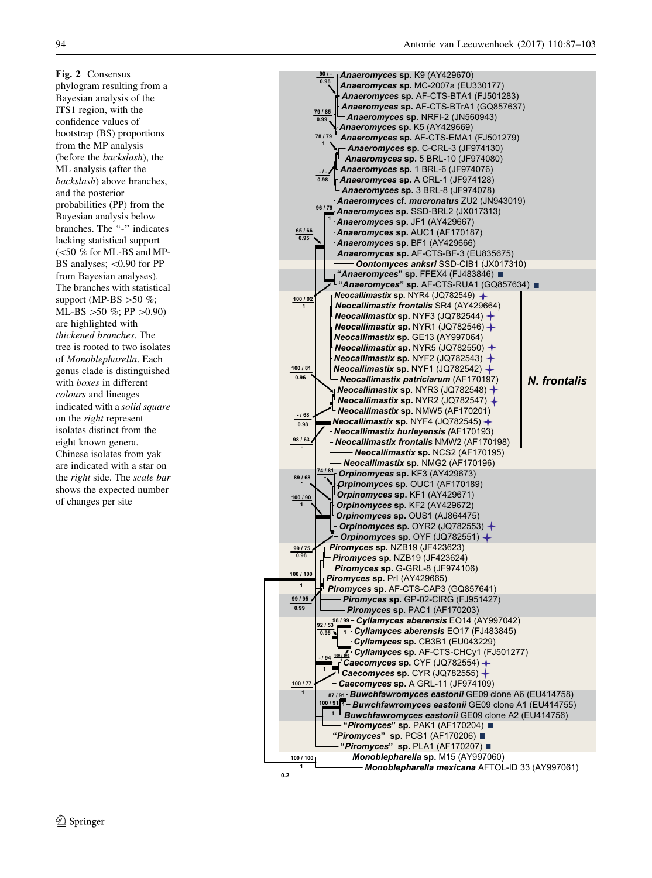<span id="page-7-0"></span>Fig. 2 Consensus phylogram resulting from a Bayesian analysis of the ITS1 region, with the confidence values of bootstrap (BS) proportions from the MP analysis (before the backslash), the ML analysis (after the backslash) above branches, and the posterior probabilities (PP) from the Bayesian analysis below branches. The "-" indicates lacking statistical support  $(<$ 50 % for ML-BS and MP-BS analyses;  $< 0.90$  for PP from Bayesian analyses). The branches with statistical support (MP-BS  $>50 \%$ ; ML-BS  $>50 \%$ ; PP  $>0.90$ ) are highlighted with thickened branches. The tree is rooted to two isolates of Monoblepharella. Each genus clade is distinguished with boxes in different colours and lineages indicated with a solid square on the right represent isolates distinct from the eight known genera. Chinese isolates from yak are indicated with a star on the right side. The scale bar shows the expected number of changes per site

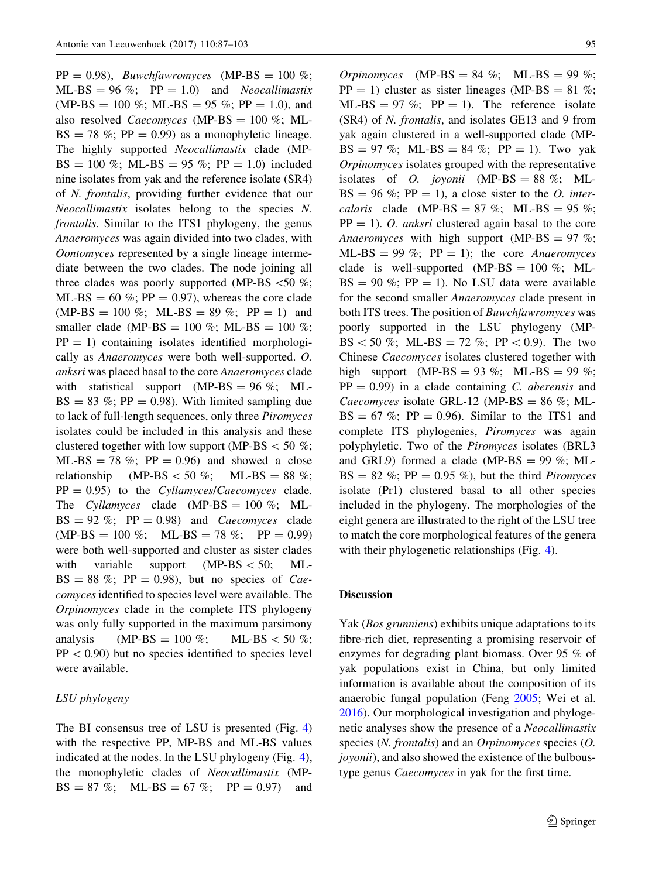$PP = 0.98$ ), *Buwchfawromyces* (MP-BS = 100 %;  $ML-BS = 96\%$ ;  $PP = 1.0$  and *Neocallimastix*  $(MP-BS = 100 \%; ML-BS = 95 \%; PP = 1.0)$ , and also resolved *Caecomyces* (MP-BS =  $100\%$ ; ML- $BS = 78$  %; PP = 0.99) as a monophyletic lineage. The highly supported Neocallimastix clade (MP-BS = 100 %; ML-BS = 95 %; PP = 1.0) included nine isolates from yak and the reference isolate (SR4) of N. frontalis, providing further evidence that our Neocallimastix isolates belong to the species N. frontalis. Similar to the ITS1 phylogeny, the genus Anaeromyces was again divided into two clades, with Oontomyces represented by a single lineage intermediate between the two clades. The node joining all three clades was poorly supported (MP-BS  $\lt 50 \%$ ;  $ML-BS = 60$  %;  $PP = 0.97$ ), whereas the core clade  $(MP-BS = 100\%; ML-BS = 89\%; PP = 1)$  and smaller clade (MP-BS = 100 %; ML-BS = 100 %;  $PP = 1$ ) containing isolates identified morphologically as Anaeromyces were both well-supported. O. anksri was placed basal to the core Anaeromyces clade with statistical support (MP-BS =  $96\%$ ; ML- $BS = 83 \%$ ; PP = 0.98). With limited sampling due to lack of full-length sequences, only three Piromyces isolates could be included in this analysis and these clustered together with low support (MP-BS  $<$  50 %;  $ML-BS = 78$  %;  $PP = 0.96$  and showed a close relationship (MP-BS  $<$  50 %; ML-BS = 88 %;  $PP = 0.95$ ) to the *Cyllamyces/Caecomyces* clade. The Cyllamyces clade (MP-BS =  $100\%$ ; ML- $BS = 92\%$ ;  $PP = 0.98$ ) and *Caecomyces* clade  $(MP-BS = 100\%; ML-BS = 78\%; PP = 0.99)$ were both well-supported and cluster as sister clades with variable support  $(MP-BS<50; ML BS = 88\%$ ; PP = 0.98), but no species of *Cae*comyces identified to species level were available. The Orpinomyces clade in the complete ITS phylogeny was only fully supported in the maximum parsimony analysis (MP-BS = 100 %; ML-BS < 50 %;  $PP<0.90$ ) but no species identified to species level were available.

## LSU phylogeny

The BI consensus tree of LSU is presented (Fig. [4\)](#page-12-0) with the respective PP, MP-BS and ML-BS values indicated at the nodes. In the LSU phylogeny (Fig. [4](#page-12-0)), the monophyletic clades of Neocallimastix (MP- $BS = 87\%$ ; ML-BS = 67 %; PP = 0.97) and Orpinomyces (MP-BS = 84 %; ML-BS = 99 %;  $PP = 1$ ) cluster as sister lineages (MP-BS = 81 %; ML-BS = 97 %;  $PP = 1$ ). The reference isolate (SR4) of N. frontalis, and isolates GE13 and 9 from yak again clustered in a well-supported clade (MP- $BS = 97\%$ ; ML-BS = 84 %; PP = 1). Two yak Orpinomyces isolates grouped with the representative isolates of *O. joyonii* (MP-BS =  $88\%$ ; ML- $BS = 96\%$ ; PP = 1), a close sister to the *O. inter*calaris clade (MP-BS =  $87\%$ ; ML-BS =  $95\%$ ;  $PP = 1$ ). O. anksri clustered again basal to the core Anaeromyces with high support (MP-BS = 97 %; ML-BS = 99 %;  $PP = 1$ ); the core *Anaeromyces* clade is well-supported (MP-BS =  $100\%$ ; ML- $BS = 90\%$ ; PP = 1). No LSU data were available for the second smaller Anaeromyces clade present in both ITS trees. The position of Buwchfawromyces was poorly supported in the LSU phylogeny (MP-BS  $< 50 %$ ; ML-BS = 72 %; PP  $< 0.9$ ). The two Chinese Caecomyces isolates clustered together with high support (MP-BS = 93 %; ML-BS = 99 %;  $PP = 0.99$  in a clade containing C. aberensis and Caecomyces isolate GRL-12 (MP-BS =  $86\%$ ; ML- $BS = 67\%$ ; PP = 0.96). Similar to the ITS1 and complete ITS phylogenies, Piromyces was again polyphyletic. Two of the Piromyces isolates (BRL3 and GRL9) formed a clade (MP-BS =  $99\%$ ; ML- $BS = 82 \%$ ; PP = 0.95 %), but the third *Piromyces* isolate (Pr1) clustered basal to all other species included in the phylogeny. The morphologies of the eight genera are illustrated to the right of the LSU tree to match the core morphological features of the genera with their phylogenetic relationships (Fig. [4\)](#page-12-0).

#### **Discussion**

Yak (*Bos grunniens*) exhibits unique adaptations to its fibre-rich diet, representing a promising reservoir of enzymes for degrading plant biomass. Over 95 % of yak populations exist in China, but only limited information is available about the composition of its anaerobic fungal population (Feng [2005;](#page-14-0) Wei et al. [2016\)](#page-15-0). Our morphological investigation and phylogenetic analyses show the presence of a Neocallimastix species (*N. frontalis*) and an *Orpinomyces* species (*O.* joyonii), and also showed the existence of the bulboustype genus Caecomyces in yak for the first time.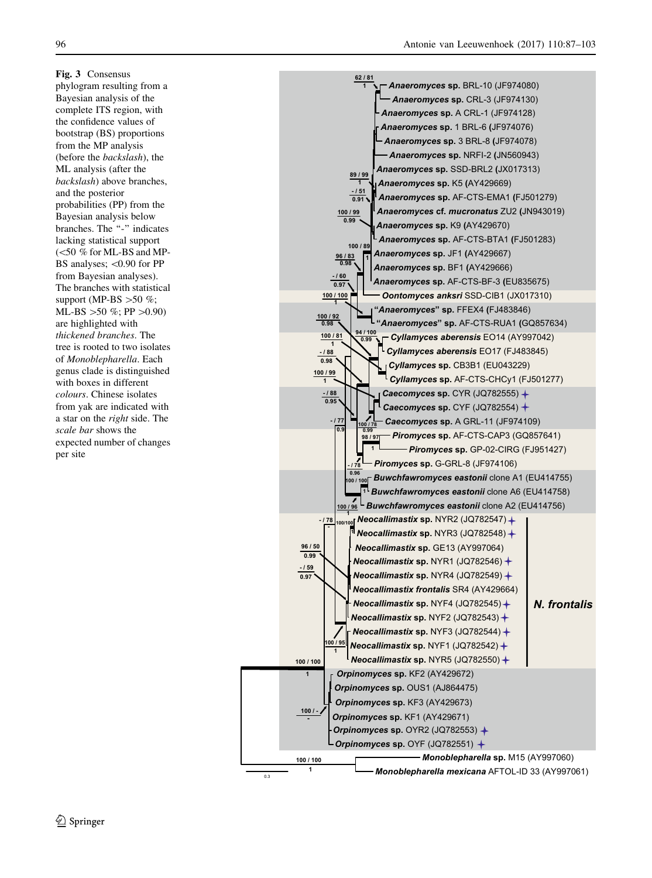<span id="page-9-0"></span>Fig. 3 Consensus phylogram resulting from a Bayesian analysis of the complete ITS region, with the confidence values of bootstrap (BS) proportions from the MP analysis (before the backslash), the ML analysis (after the backslash) above branches, and the posterior probabilities (PP) from the Bayesian analysis below branches. The "-" indicates lacking statistical support  $(<$ 50 % for ML-BS and MP-BS analyses;  $< 0.90$  for PP from Bayesian analyses). The branches with statistical support (MP-BS  $>50 \%$ ; ML-BS  $>50 \%$ ; PP $>0.90$ ) are highlighted with thickened branches. The tree is rooted to two isolates of Monoblepharella. Each genus clade is distinguished with boxes in different colours. Chinese isolates from yak are indicated with a star on the right side. The scale bar shows the expected number of changes per site

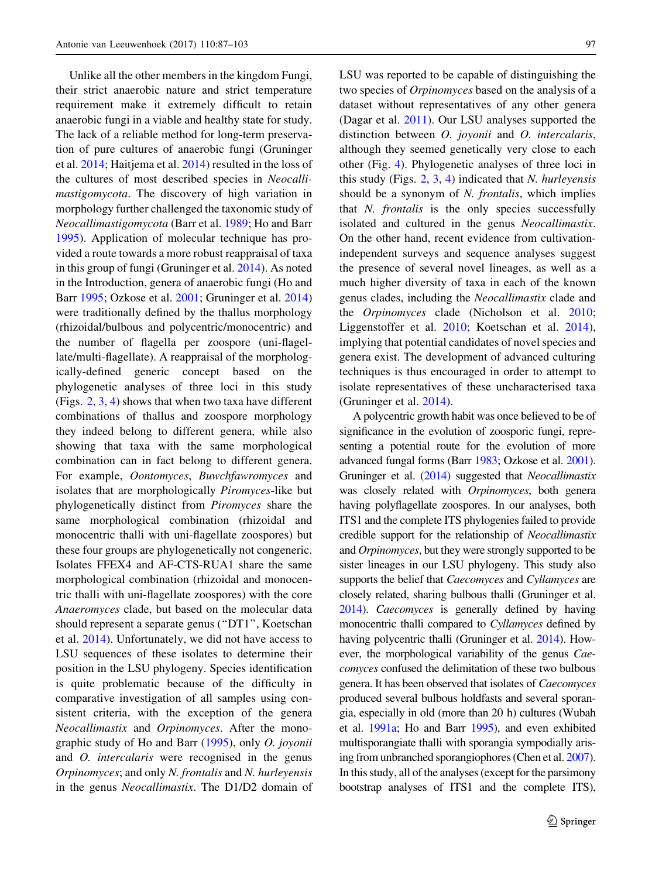Unlike all the other members in the kingdom Fungi, their strict anaerobic nature and strict temperature requirement make it extremely difficult to retain anaerobic fungi in a viable and healthy state for study. The lack of a reliable method for long-term preservation of pure cultures of anaerobic fungi (Gruninger et al. [2014;](#page-14-0) Haitjema et al. [2014\)](#page-14-0) resulted in the loss of the cultures of most described species in Neocallimastigomycota. The discovery of high variation in morphology further challenged the taxonomic study of Neocallimastigomycota (Barr et al. [1989](#page-14-0); Ho and Barr [1995\)](#page-14-0). Application of molecular technique has provided a route towards a more robust reappraisal of taxa in this group of fungi (Gruninger et al. [2014](#page-14-0)). As noted in the Introduction, genera of anaerobic fungi (Ho and Barr [1995](#page-14-0); Ozkose et al. [2001](#page-15-0); Gruninger et al. [2014\)](#page-14-0) were traditionally defined by the thallus morphology (rhizoidal/bulbous and polycentric/monocentric) and the number of flagella per zoospore (uni-flagellate/multi-flagellate). A reappraisal of the morphologically-defined generic concept based on the phylogenetic analyses of three loci in this study (Figs. [2](#page-7-0), [3,](#page-9-0) [4](#page-12-0)) shows that when two taxa have different combinations of thallus and zoospore morphology they indeed belong to different genera, while also showing that taxa with the same morphological combination can in fact belong to different genera. For example, Oontomyces, Buwchfawromyces and isolates that are morphologically Piromyces-like but phylogenetically distinct from Piromyces share the same morphological combination (rhizoidal and monocentric thalli with uni-flagellate zoospores) but these four groups are phylogenetically not congeneric. Isolates FFEX4 and AF-CTS-RUA1 share the same morphological combination (rhizoidal and monocentric thalli with uni-flagellate zoospores) with the core Anaeromyces clade, but based on the molecular data should represent a separate genus (''DT1'', Koetschan et al. [2014](#page-14-0)). Unfortunately, we did not have access to LSU sequences of these isolates to determine their position in the LSU phylogeny. Species identification is quite problematic because of the difficulty in comparative investigation of all samples using consistent criteria, with the exception of the genera Neocallimastix and Orpinomyces. After the monographic study of Ho and Barr [\(1995](#page-14-0)), only O. joyonii and O. intercalaris were recognised in the genus Orpinomyces; and only N. frontalis and N. hurleyensis in the genus Neocallimastix. The D1/D2 domain of LSU was reported to be capable of distinguishing the two species of Orpinomyces based on the analysis of a dataset without representatives of any other genera (Dagar et al. [2011](#page-14-0)). Our LSU analyses supported the distinction between *O. joyonii* and *O. intercalaris*, although they seemed genetically very close to each other (Fig. [4](#page-12-0)). Phylogenetic analyses of three loci in this study (Figs.  $2$ ,  $3$ ,  $4$ ) indicated that *N. hurleyensis* should be a synonym of N. frontalis, which implies that  $N$ . *frontalis* is the only species successfully isolated and cultured in the genus Neocallimastix. On the other hand, recent evidence from cultivationindependent surveys and sequence analyses suggest the presence of several novel lineages, as well as a much higher diversity of taxa in each of the known genus clades, including the Neocallimastix clade and the Orpinomyces clade (Nicholson et al. [2010](#page-15-0); Liggenstoffer et al. [2010;](#page-15-0) Koetschan et al. [2014](#page-14-0)), implying that potential candidates of novel species and genera exist. The development of advanced culturing techniques is thus encouraged in order to attempt to isolate representatives of these uncharacterised taxa (Gruninger et al. [2014\)](#page-14-0).

A polycentric growth habit was once believed to be of significance in the evolution of zoosporic fungi, representing a potential route for the evolution of more advanced fungal forms (Barr [1983;](#page-14-0) Ozkose et al. [2001\)](#page-15-0). Gruninger et al. [\(2014](#page-14-0)) suggested that *Neocallimastix* was closely related with Orpinomyces, both genera having polyflagellate zoospores. In our analyses, both ITS1 and the complete ITS phylogenies failed to provide credible support for the relationship of Neocallimastix and Orpinomyces, but they were strongly supported to be sister lineages in our LSU phylogeny. This study also supports the belief that Caecomyces and Cyllamyces are closely related, sharing bulbous thalli (Gruninger et al. [2014](#page-14-0)). Caecomyces is generally defined by having monocentric thalli compared to Cyllamyces defined by having polycentric thalli (Gruninger et al. [2014\)](#page-14-0). However, the morphological variability of the genus Caecomyces confused the delimitation of these two bulbous genera. It has been observed that isolates of Caecomyces produced several bulbous holdfasts and several sporangia, especially in old (more than 20 h) cultures (Wubah et al. [1991a;](#page-16-0) Ho and Barr [1995](#page-14-0)), and even exhibited multisporangiate thalli with sporangia sympodially arising from unbranched sporangiophores (Chen et al. [2007\)](#page-14-0). In this study, all of the analyses (except for the parsimony bootstrap analyses of ITS1 and the complete ITS),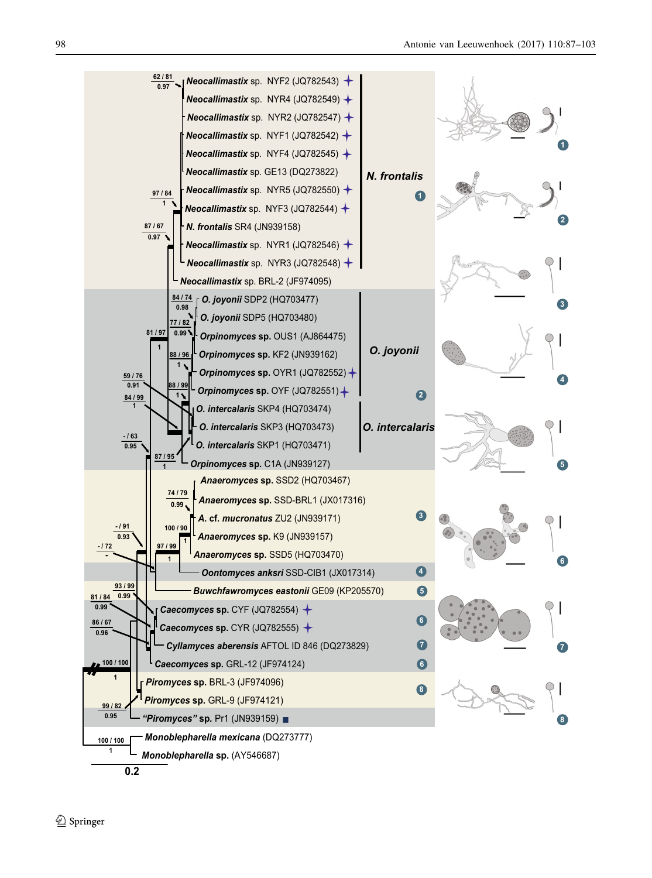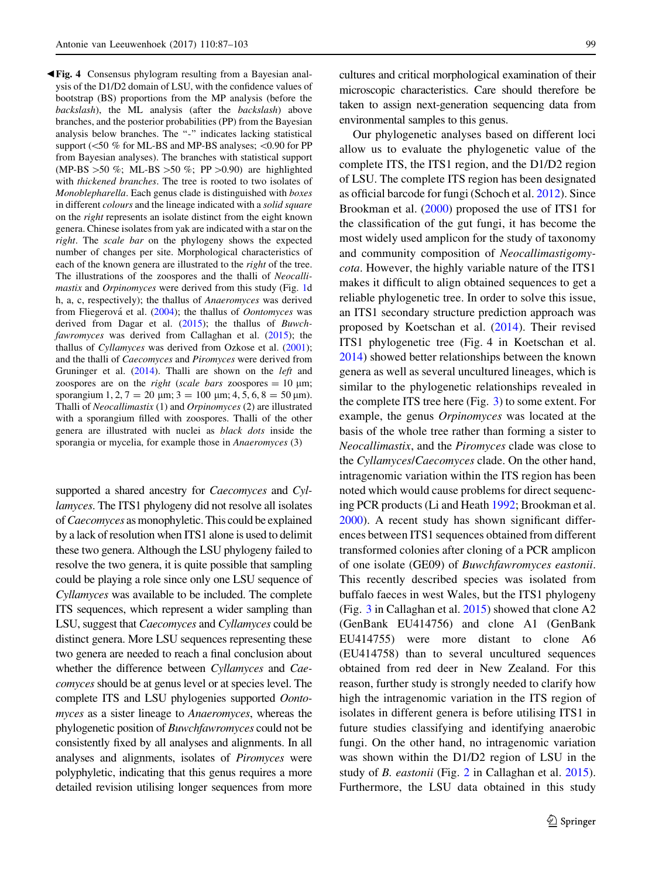<span id="page-12-0"></span>b Fig. 4 Consensus phylogram resulting from a Bayesian analysis of the D1/D2 domain of LSU, with the confidence values of bootstrap (BS) proportions from the MP analysis (before the backslash), the ML analysis (after the backslash) above branches, and the posterior probabilities (PP) from the Bayesian analysis below branches. The "-" indicates lacking statistical support ( $\leq 50$  % for ML-BS and MP-BS analyses;  $\leq 0.90$  for PP from Bayesian analyses). The branches with statistical support (MP-BS  $>50 \%$ ; ML-BS  $>50 \%$ ; PP  $>0.90$ ) are highlighted with thickened branches. The tree is rooted to two isolates of Monoblepharella. Each genus clade is distinguished with boxes in different colours and the lineage indicated with a solid square on the right represents an isolate distinct from the eight known genera. Chinese isolates from yak are indicated with a star on the right. The scale bar on the phylogeny shows the expected number of changes per site. Morphological characteristics of each of the known genera are illustrated to the right of the tree. The illustrations of the zoospores and the thalli of Neocallimastix and Orpinomyces were derived from this study (Fig. [1d](#page-5-0) h, a, c, respectively); the thallus of Anaeromyces was derived from Fliegerová et al. [\(2004](#page-14-0)); the thallus of *Oontomyces* was derived from Dagar et al. ([2015\)](#page-14-0); the thallus of Buwch-fawromyces was derived from Callaghan et al. [\(2015](#page-14-0)); the thallus of Cyllamyces was derived from Ozkose et al. [\(2001\)](#page-15-0); and the thalli of Caecomyces and Piromyces were derived from Gruninger et al. ([2014\)](#page-14-0). Thalli are shown on the *left* and zoospores are on the *right* (scale bars zoospores  $= 10 \mu m$ ; sporangium 1, 2, 7 = 20  $\mu$ m; 3 = 100  $\mu$ m; 4, 5, 6, 8 = 50  $\mu$ m). Thalli of Neocallimastix (1) and Orpinomyces (2) are illustrated with a sporangium filled with zoospores. Thalli of the other genera are illustrated with nuclei as black dots inside the sporangia or mycelia, for example those in Anaeromyces (3)

supported a shared ancestry for *Caecomyces* and *Cyl*lamyces. The ITS1 phylogeny did not resolve all isolates of *Caecomyces* as monophyletic. This could be explained by a lack of resolution when ITS1 alone is used to delimit these two genera. Although the LSU phylogeny failed to resolve the two genera, it is quite possible that sampling could be playing a role since only one LSU sequence of Cyllamyces was available to be included. The complete ITS sequences, which represent a wider sampling than LSU, suggest that Caecomyces and Cyllamyces could be distinct genera. More LSU sequences representing these two genera are needed to reach a final conclusion about whether the difference between Cyllamyces and Caecomyces should be at genus level or at species level. The complete ITS and LSU phylogenies supported Oontomyces as a sister lineage to Anaeromyces, whereas the phylogenetic position of Buwchfawromyces could not be consistently fixed by all analyses and alignments. In all analyses and alignments, isolates of Piromyces were polyphyletic, indicating that this genus requires a more detailed revision utilising longer sequences from more

cultures and critical morphological examination of their microscopic characteristics. Care should therefore be taken to assign next-generation sequencing data from environmental samples to this genus.

Our phylogenetic analyses based on different loci allow us to evaluate the phylogenetic value of the complete ITS, the ITS1 region, and the D1/D2 region of LSU. The complete ITS region has been designated as official barcode for fungi (Schoch et al. [2012](#page-15-0)). Since Brookman et al. ([2000\)](#page-14-0) proposed the use of ITS1 for the classification of the gut fungi, it has become the most widely used amplicon for the study of taxonomy and community composition of Neocallimastigomycota. However, the highly variable nature of the ITS1 makes it difficult to align obtained sequences to get a reliable phylogenetic tree. In order to solve this issue, an ITS1 secondary structure prediction approach was proposed by Koetschan et al. [\(2014](#page-14-0)). Their revised ITS1 phylogenetic tree (Fig. 4 in Koetschan et al. [2014\)](#page-14-0) showed better relationships between the known genera as well as several uncultured lineages, which is similar to the phylogenetic relationships revealed in the complete ITS tree here (Fig. [3\)](#page-9-0) to some extent. For example, the genus Orpinomyces was located at the basis of the whole tree rather than forming a sister to Neocallimastix, and the Piromyces clade was close to the Cyllamyces/Caecomyces clade. On the other hand, intragenomic variation within the ITS region has been noted which would cause problems for direct sequencing PCR products (Li and Heath [1992;](#page-15-0) Brookman et al. [2000\)](#page-14-0). A recent study has shown significant differences between ITS1 sequences obtained from different transformed colonies after cloning of a PCR amplicon of one isolate (GE09) of Buwchfawromyces eastonii. This recently described species was isolated from buffalo faeces in west Wales, but the ITS1 phylogeny (Fig. [3](#page-9-0) in Callaghan et al. [2015\)](#page-14-0) showed that clone A2 (GenBank EU414756) and clone A1 (GenBank EU414755) were more distant to clone A6 (EU414758) than to several uncultured sequences obtained from red deer in New Zealand. For this reason, further study is strongly needed to clarify how high the intragenomic variation in the ITS region of isolates in different genera is before utilising ITS1 in future studies classifying and identifying anaerobic fungi. On the other hand, no intragenomic variation was shown within the D1/D2 region of LSU in the study of B. eastonii (Fig. [2](#page-7-0) in Callaghan et al. [2015](#page-14-0)). Furthermore, the LSU data obtained in this study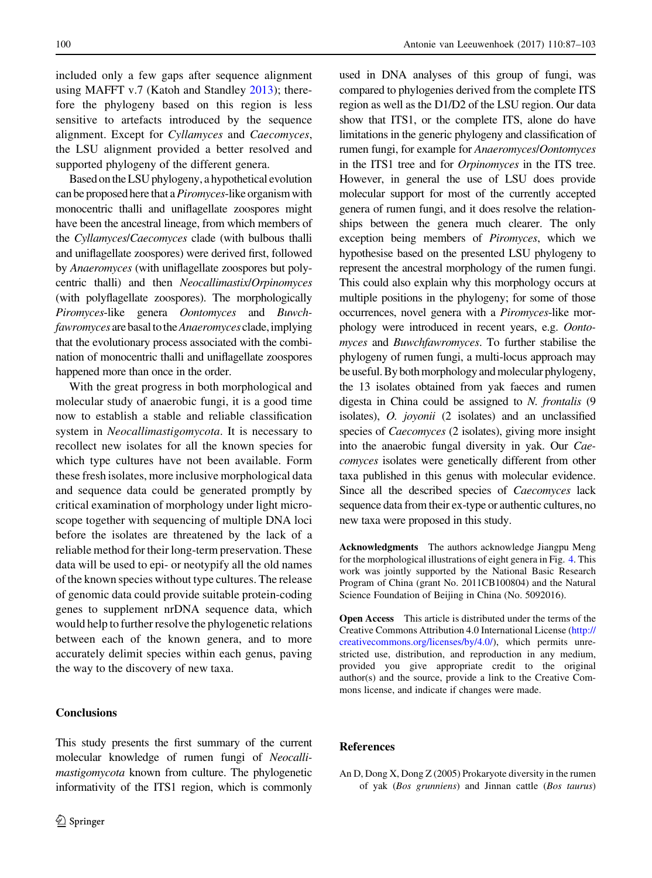<span id="page-13-0"></span>included only a few gaps after sequence alignment using MAFFT v.7 (Katoh and Standley [2013\)](#page-14-0); therefore the phylogeny based on this region is less sensitive to artefacts introduced by the sequence alignment. Except for Cyllamyces and Caecomyces, the LSU alignment provided a better resolved and supported phylogeny of the different genera.

Based onthe LSU phylogeny, a hypothetical evolution can be proposed here that a *Piromyces*-like organism with monocentric thalli and uniflagellate zoospores might have been the ancestral lineage, from which members of the Cyllamyces/Caecomyces clade (with bulbous thalli and uniflagellate zoospores) were derived first, followed by Anaeromyces (with uniflagellate zoospores but polycentric thalli) and then Neocallimastix/Orpinomyces (with polyflagellate zoospores). The morphologically Piromyces-like genera Oontomyces and Buwchfawromyces are basal to the *Anaeromyces* clade, implying that the evolutionary process associated with the combination of monocentric thalli and uniflagellate zoospores happened more than once in the order.

With the great progress in both morphological and molecular study of anaerobic fungi, it is a good time now to establish a stable and reliable classification system in Neocallimastigomycota. It is necessary to recollect new isolates for all the known species for which type cultures have not been available. Form these fresh isolates, more inclusive morphological data and sequence data could be generated promptly by critical examination of morphology under light microscope together with sequencing of multiple DNA loci before the isolates are threatened by the lack of a reliable method for their long-term preservation. These data will be used to epi- or neotypify all the old names of the known species without type cultures. The release of genomic data could provide suitable protein-coding genes to supplement nrDNA sequence data, which would help to further resolve the phylogenetic relations between each of the known genera, and to more accurately delimit species within each genus, paving the way to the discovery of new taxa.

## Conclusions

This study presents the first summary of the current molecular knowledge of rumen fungi of Neocallimastigomycota known from culture. The phylogenetic informativity of the ITS1 region, which is commonly

used in DNA analyses of this group of fungi, was compared to phylogenies derived from the complete ITS region as well as the D1/D2 of the LSU region. Our data show that ITS1, or the complete ITS, alone do have limitations in the generic phylogeny and classification of rumen fungi, for example for Anaeromyces/Oontomyces in the ITS1 tree and for Orpinomyces in the ITS tree. However, in general the use of LSU does provide molecular support for most of the currently accepted genera of rumen fungi, and it does resolve the relationships between the genera much clearer. The only exception being members of Piromyces, which we hypothesise based on the presented LSU phylogeny to represent the ancestral morphology of the rumen fungi. This could also explain why this morphology occurs at multiple positions in the phylogeny; for some of those occurrences, novel genera with a Piromyces-like morphology were introduced in recent years, e.g. Oontomyces and Buwchfawromyces. To further stabilise the phylogeny of rumen fungi, a multi-locus approach may be useful.By both morphology and molecular phylogeny, the 13 isolates obtained from yak faeces and rumen digesta in China could be assigned to N. frontalis (9 isolates), O. joyonii (2 isolates) and an unclassified species of *Caecomyces* (2 isolates), giving more insight into the anaerobic fungal diversity in yak. Our Caecomyces isolates were genetically different from other taxa published in this genus with molecular evidence. Since all the described species of Caecomyces lack sequence data from their ex-type or authentic cultures, no new taxa were proposed in this study.

Acknowledgments The authors acknowledge Jiangpu Meng for the morphological illustrations of eight genera in Fig. [4](#page-12-0). This work was jointly supported by the National Basic Research Program of China (grant No. 2011CB100804) and the Natural Science Foundation of Beijing in China (No. 5092016).

Open Access This article is distributed under the terms of the Creative Commons Attribution 4.0 International License ([http://](http://creativecommons.org/licenses/by/4.0/) [creativecommons.org/licenses/by/4.0/\)](http://creativecommons.org/licenses/by/4.0/), which permits unrestricted use, distribution, and reproduction in any medium, provided you give appropriate credit to the original author(s) and the source, provide a link to the Creative Commons license, and indicate if changes were made.

#### References

An D, Dong X, Dong Z (2005) Prokaryote diversity in the rumen of yak (Bos grunniens) and Jinnan cattle (Bos taurus)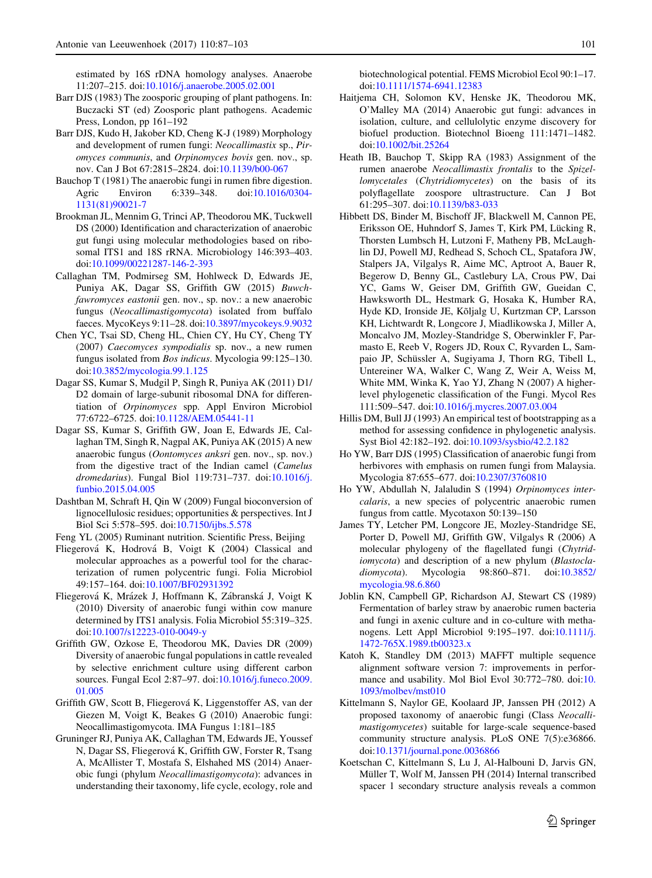<span id="page-14-0"></span>estimated by 16S rDNA homology analyses. Anaerobe 11:207–215. doi:[10.1016/j.anaerobe.2005.02.001](http://dx.doi.org/10.1016/j.anaerobe.2005.02.001)

- Barr DJS (1983) The zoosporic grouping of plant pathogens. In: Buczacki ST (ed) Zoosporic plant pathogens. Academic Press, London, pp 161–192
- Barr DJS, Kudo H, Jakober KD, Cheng K-J (1989) Morphology and development of rumen fungi: Neocallimastix sp., Piromyces communis, and Orpinomyces bovis gen. nov., sp. nov. Can J Bot 67:2815–2824. doi:[10.1139/b00-067](http://dx.doi.org/10.1139/b00-067)
- Bauchop T (1981) The anaerobic fungi in rumen fibre digestion.<br>Agric Environ 6:339–348. doi:10.1016/0304-Agric Environ 6:339–348. doi:[10.1016/0304-](http://dx.doi.org/10.1016/0304-1131(81)90021-7) [1131\(81\)90021-7](http://dx.doi.org/10.1016/0304-1131(81)90021-7)
- Brookman JL, Mennim G, Trinci AP, Theodorou MK, Tuckwell DS (2000) Identification and characterization of anaerobic gut fungi using molecular methodologies based on ribosomal ITS1 and 18S rRNA. Microbiology 146:393–403. doi[:10.1099/00221287-146-2-393](http://dx.doi.org/10.1099/00221287-146-2-393)
- Callaghan TM, Podmirseg SM, Hohlweck D, Edwards JE, Puniya AK, Dagar SS, Griffith GW (2015) Buwchfawromyces eastonii gen. nov., sp. nov.: a new anaerobic fungus (Neocallimastigomycota) isolated from buffalo faeces. MycoKeys 9:11–28. doi[:10.3897/mycokeys.9.9032](http://dx.doi.org/10.3897/mycokeys.9.9032)
- Chen YC, Tsai SD, Cheng HL, Chien CY, Hu CY, Cheng TY (2007) Caecomyces sympodialis sp. nov., a new rumen fungus isolated from Bos indicus. Mycologia 99:125–130. doi[:10.3852/mycologia.99.1.125](http://dx.doi.org/10.3852/mycologia.99.1.125)
- Dagar SS, Kumar S, Mudgil P, Singh R, Puniya AK (2011) D1/ D2 domain of large-subunit ribosomal DNA for differentiation of Orpinomyces spp. Appl Environ Microbiol 77:6722–6725. doi[:10.1128/AEM.05441-11](http://dx.doi.org/10.1128/AEM.05441-11)
- Dagar SS, Kumar S, Griffith GW, Joan E, Edwards JE, Callaghan TM, Singh R, Nagpal AK, Puniya AK (2015) A new anaerobic fungus (Oontomyces anksri gen. nov., sp. nov.) from the digestive tract of the Indian camel (Camelus dromedarius). Fungal Biol 119:731–737. doi:[10.1016/j.](http://dx.doi.org/10.1016/j.funbio.2015.04.005) [funbio.2015.04.005](http://dx.doi.org/10.1016/j.funbio.2015.04.005)
- Dashtban M, Schraft H, Qin W (2009) Fungal bioconversion of lignocellulosic residues; opportunities & perspectives. Int J Biol Sci 5:578–595. doi:[10.7150/ijbs.5.578](http://dx.doi.org/10.7150/ijbs.5.578)
- Feng YL (2005) Ruminant nutrition. Scientific Press, Beijing
- Fliegerová K, Hodrová B, Voigt K (2004) Classical and molecular approaches as a powerful tool for the characterization of rumen polycentric fungi. Folia Microbiol 49:157–164. doi:[10.1007/BF02931392](http://dx.doi.org/10.1007/BF02931392)
- Fliegerová K, Mrázek J, Hoffmann K, Zábranská J, Voigt K (2010) Diversity of anaerobic fungi within cow manure determined by ITS1 analysis. Folia Microbiol 55:319–325. doi[:10.1007/s12223-010-0049-y](http://dx.doi.org/10.1007/s12223-010-0049-y)
- Griffith GW, Ozkose E, Theodorou MK, Davies DR (2009) Diversity of anaerobic fungal populations in cattle revealed by selective enrichment culture using different carbon sources. Fungal Ecol 2:87–97. doi:[10.1016/j.funeco.2009.](http://dx.doi.org/10.1016/j.funeco.2009.01.005) [01.005](http://dx.doi.org/10.1016/j.funeco.2009.01.005)
- Griffith GW, Scott B, Fliegerová K, Liggenstoffer AS, van der Giezen M, Voigt K, Beakes G (2010) Anaerobic fungi: Neocallimastigomycota. IMA Fungus 1:181–185
- Gruninger RJ, Puniya AK, Callaghan TM, Edwards JE, Youssef N, Dagar SS, Fliegerová K, Griffith GW, Forster R, Tsang A, McAllister T, Mostafa S, Elshahed MS (2014) Anaerobic fungi (phylum Neocallimastigomycota): advances in understanding their taxonomy, life cycle, ecology, role and

biotechnological potential. FEMS Microbiol Ecol 90:1–17. doi[:10.1111/1574-6941.12383](http://dx.doi.org/10.1111/1574-6941.12383)

- Haitjema CH, Solomon KV, Henske JK, Theodorou MK, O'Malley MA (2014) Anaerobic gut fungi: advances in isolation, culture, and cellulolytic enzyme discovery for biofuel production. Biotechnol Bioeng 111:1471–1482. doi[:10.1002/bit.25264](http://dx.doi.org/10.1002/bit.25264)
- Heath IB, Bauchop T, Skipp RA (1983) Assignment of the rumen anaerobe Neocallimastix frontalis to the Spizellomycetales (Chytridiomycetes) on the basis of its polyflagellate zoospore ultrastructure. Can J Bot 61:295–307. doi[:10.1139/b83-033](http://dx.doi.org/10.1139/b83-033)
- Hibbett DS, Binder M, Bischoff JF, Blackwell M, Cannon PE, Eriksson OE, Huhndorf S, James T, Kirk PM, Lücking R, Thorsten Lumbsch H, Lutzoni F, Matheny PB, McLaughlin DJ, Powell MJ, Redhead S, Schoch CL, Spatafora JW, Stalpers JA, Vilgalys R, Aime MC, Aptroot A, Bauer R, Begerow D, Benny GL, Castlebury LA, Crous PW, Dai YC, Gams W, Geiser DM, Griffith GW, Gueidan C, Hawksworth DL, Hestmark G, Hosaka K, Humber RA, Hyde KD, Ironside JE, Kõljalg U, Kurtzman CP, Larsson KH, Lichtwardt R, Longcore J, Miadlikowska J, Miller A, Moncalvo JM, Mozley-Standridge S, Oberwinkler F, Parmasto E, Reeb V, Rogers JD, Roux C, Ryvarden L, Sampaio JP, Schüssler A, Sugiyama J, Thorn RG, Tibell L, Untereiner WA, Walker C, Wang Z, Weir A, Weiss M, White MM, Winka K, Yao YJ, Zhang N (2007) A higherlevel phylogenetic classification of the Fungi. Mycol Res 111:509–547. doi[:10.1016/j.mycres.2007.03.004](http://dx.doi.org/10.1016/j.mycres.2007.03.004)
- Hillis DM, Bull JJ (1993) An empirical test of bootstrapping as a method for assessing confidence in phylogenetic analysis. Syst Biol 42:182–192. doi[:10.1093/sysbio/42.2.182](http://dx.doi.org/10.1093/sysbio/42.2.182)
- Ho YW, Barr DJS (1995) Classification of anaerobic fungi from herbivores with emphasis on rumen fungi from Malaysia. Mycologia 87:655–677. doi[:10.2307/3760810](http://dx.doi.org/10.2307/3760810)
- Ho YW, Abdullah N, Jalaludin S (1994) Orpinomyces intercalaris, a new species of polycentric anaerobic rumen fungus from cattle. Mycotaxon 50:139–150
- James TY, Letcher PM, Longcore JE, Mozley-Standridge SE, Porter D, Powell MJ, Griffith GW, Vilgalys R (2006) A molecular phylogeny of the flagellated fungi (Chytridiomycota) and description of a new phylum (Blastocladiomycota). Mycologia 98:860–871. doi[:10.3852/](http://dx.doi.org/10.3852/mycologia.98.6.860) [mycologia.98.6.860](http://dx.doi.org/10.3852/mycologia.98.6.860)
- Joblin KN, Campbell GP, Richardson AJ, Stewart CS (1989) Fermentation of barley straw by anaerobic rumen bacteria and fungi in axenic culture and in co-culture with methanogens. Lett Appl Microbiol 9:195–197. doi:[10.1111/j.](http://dx.doi.org/10.1111/j.1472-765X.1989.tb00323.x) [1472-765X.1989.tb00323.x](http://dx.doi.org/10.1111/j.1472-765X.1989.tb00323.x)
- Katoh K, Standley DM (2013) MAFFT multiple sequence alignment software version 7: improvements in performance and usability. Mol Biol Evol 30:772–780. doi:[10.](http://dx.doi.org/10.1093/molbev/mst010) [1093/molbev/mst010](http://dx.doi.org/10.1093/molbev/mst010)
- Kittelmann S, Naylor GE, Koolaard JP, Janssen PH (2012) A proposed taxonomy of anaerobic fungi (Class Neocallimastigomycetes) suitable for large-scale sequence-based community structure analysis. PLoS ONE 7(5):e36866. doi[:10.1371/journal.pone.0036866](http://dx.doi.org/10.1371/journal.pone.0036866)
- Koetschan C, Kittelmann S, Lu J, Al-Halbouni D, Jarvis GN, Müller T, Wolf M, Janssen PH (2014) Internal transcribed spacer 1 secondary structure analysis reveals a common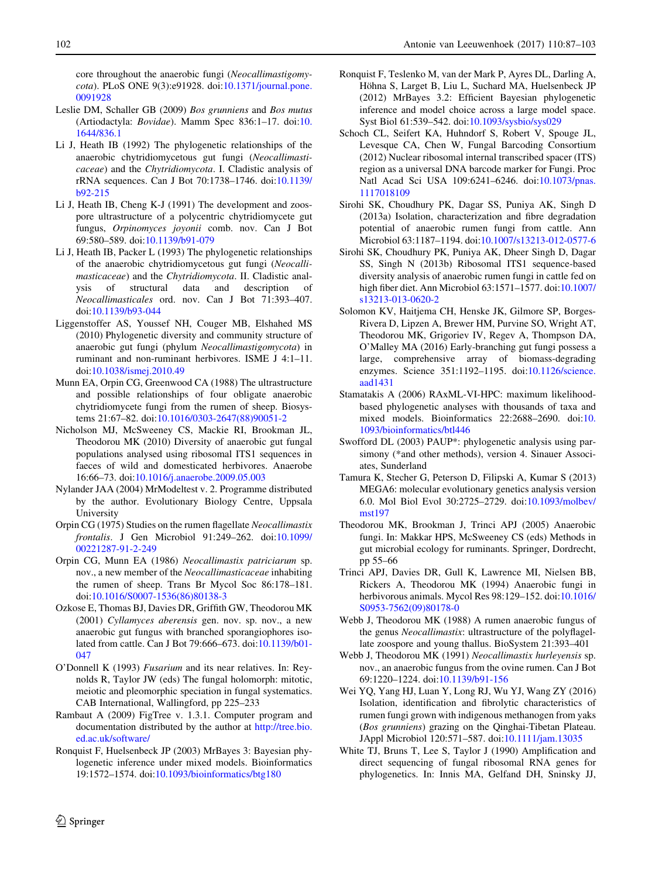<span id="page-15-0"></span>core throughout the anaerobic fungi (Neocallimastigomycota). PLoS ONE 9(3):e91928. doi[:10.1371/journal.pone.](http://dx.doi.org/10.1371/journal.pone.0091928) [0091928](http://dx.doi.org/10.1371/journal.pone.0091928)

- Leslie DM, Schaller GB (2009) Bos grunniens and Bos mutus (Artiodactyla: Bovidae). Mamm Spec 836:1–17. doi:[10.](http://dx.doi.org/10.1644/836.1) [1644/836.1](http://dx.doi.org/10.1644/836.1)
- Li J, Heath IB (1992) The phylogenetic relationships of the anaerobic chytridiomycetous gut fungi (Neocallimasticaceae) and the Chytridiomycota. I. Cladistic analysis of rRNA sequences. Can J Bot 70:1738–1746. doi[:10.1139/](http://dx.doi.org/10.1139/b92-215) [b92-215](http://dx.doi.org/10.1139/b92-215)
- Li J, Heath IB, Cheng K-J (1991) The development and zoospore ultrastructure of a polycentric chytridiomycete gut fungus, Orpinomyces joyonii comb. nov. Can J Bot 69:580–589. doi:[10.1139/b91-079](http://dx.doi.org/10.1139/b91-079)
- Li J, Heath IB, Packer L (1993) The phylogenetic relationships of the anaerobic chytridiomycetous gut fungi (Neocallimasticaceae) and the Chytridiomycota. II. Cladistic anal-<br>ysis of structural data and description of ysis of structural data and description of Neocallimasticales ord. nov. Can J Bot 71:393–407. doi[:10.1139/b93-044](http://dx.doi.org/10.1139/b93-044)
- Liggenstoffer AS, Youssef NH, Couger MB, Elshahed MS (2010) Phylogenetic diversity and community structure of anaerobic gut fungi (phylum Neocallimastigomycota) in ruminant and non-ruminant herbivores. ISME J 4:1–11. doi[:10.1038/ismej.2010.49](http://dx.doi.org/10.1038/ismej.2010.49)
- Munn EA, Orpin CG, Greenwood CA (1988) The ultrastructure and possible relationships of four obligate anaerobic chytridiomycete fungi from the rumen of sheep. Biosystems 21:67–82. doi:[10.1016/0303-2647\(88\)90051-2](http://dx.doi.org/10.1016/0303-2647(88)90051-2)
- Nicholson MJ, McSweeney CS, Mackie RI, Brookman JL, Theodorou MK (2010) Diversity of anaerobic gut fungal populations analysed using ribosomal ITS1 sequences in faeces of wild and domesticated herbivores. Anaerobe 16:66–73. doi:[10.1016/j.anaerobe.2009.05.003](http://dx.doi.org/10.1016/j.anaerobe.2009.05.003)
- Nylander JAA (2004) MrModeltest v. 2. Programme distributed by the author. Evolutionary Biology Centre, Uppsala University
- Orpin CG (1975) Studies on the rumen flagellate Neocallimastix frontalis. J Gen Microbiol 91:249–262. doi[:10.1099/](http://dx.doi.org/10.1099/00221287-91-2-249) [00221287-91-2-249](http://dx.doi.org/10.1099/00221287-91-2-249)
- Orpin CG, Munn EA (1986) Neocallimastix patriciarum sp. nov., a new member of the Neocallimasticaceae inhabiting the rumen of sheep. Trans Br Mycol Soc 86:178–181. doi[:10.1016/S0007-1536\(86\)80138-3](http://dx.doi.org/10.1016/S0007-1536(86)80138-3)
- Ozkose E, Thomas BJ, Davies DR, Griffith GW, Theodorou MK (2001) Cyllamyces aberensis gen. nov. sp. nov., a new anaerobic gut fungus with branched sporangiophores isolated from cattle. Can J Bot 79:666–673. doi:[10.1139/b01-](http://dx.doi.org/10.1139/b01-047) [047](http://dx.doi.org/10.1139/b01-047)
- O'Donnell K (1993) Fusarium and its near relatives. In: Reynolds R, Taylor JW (eds) The fungal holomorph: mitotic, meiotic and pleomorphic speciation in fungal systematics. CAB International, Wallingford, pp 225–233
- Rambaut A (2009) FigTree v. 1.3.1. Computer program and documentation distributed by the author at [http://tree.bio.](http://tree.bio.ed.ac.uk/software/) [ed.ac.uk/software/](http://tree.bio.ed.ac.uk/software/)
- Ronquist F, Huelsenbeck JP (2003) MrBayes 3: Bayesian phylogenetic inference under mixed models. Bioinformatics 19:1572–1574. doi[:10.1093/bioinformatics/btg180](http://dx.doi.org/10.1093/bioinformatics/btg180)
- Ronquist F, Teslenko M, van der Mark P, Ayres DL, Darling A, Höhna S, Larget B, Liu L, Suchard MA, Huelsenbeck JP (2012) MrBayes 3.2: Efficient Bayesian phylogenetic inference and model choice across a large model space. Syst Biol 61:539–542. doi[:10.1093/sysbio/sys029](http://dx.doi.org/10.1093/sysbio/sys029)
- Schoch CL, Seifert KA, Huhndorf S, Robert V, Spouge JL, Levesque CA, Chen W, Fungal Barcoding Consortium (2012) Nuclear ribosomal internal transcribed spacer (ITS) region as a universal DNA barcode marker for Fungi. Proc Natl Acad Sci USA 109:6241–6246. doi:[10.1073/pnas.](http://dx.doi.org/10.1073/pnas.1117018109) [1117018109](http://dx.doi.org/10.1073/pnas.1117018109)
- Sirohi SK, Choudhury PK, Dagar SS, Puniya AK, Singh D (2013a) Isolation, characterization and fibre degradation potential of anaerobic rumen fungi from cattle. Ann Microbiol 63:1187–1194. doi:[10.1007/s13213-012-0577-6](http://dx.doi.org/10.1007/s13213-012-0577-6)
- Sirohi SK, Choudhury PK, Puniya AK, Dheer Singh D, Dagar SS, Singh N (2013b) Ribosomal ITS1 sequence-based diversity analysis of anaerobic rumen fungi in cattle fed on high fiber diet. Ann Microbiol 63:1571–1577. doi[:10.1007/](http://dx.doi.org/10.1007/s13213-013-0620-2) [s13213-013-0620-2](http://dx.doi.org/10.1007/s13213-013-0620-2)
- Solomon KV, Haitjema CH, Henske JK, Gilmore SP, Borges-Rivera D, Lipzen A, Brewer HM, Purvine SO, Wright AT, Theodorou MK, Grigoriev IV, Regev A, Thompson DA, O'Malley MA (2016) Early-branching gut fungi possess a large, comprehensive array of biomass-degrading enzymes. Science 351:1192–1195. doi[:10.1126/science.](http://dx.doi.org/10.1126/science.aad1431) [aad1431](http://dx.doi.org/10.1126/science.aad1431)
- Stamatakis A (2006) RAxML-VI-HPC: maximum likelihoodbased phylogenetic analyses with thousands of taxa and mixed models. Bioinformatics 22:2688–2690. doi:[10.](http://dx.doi.org/10.1093/bioinformatics/btl446) [1093/bioinformatics/btl446](http://dx.doi.org/10.1093/bioinformatics/btl446)
- Swofford DL (2003) PAUP\*: phylogenetic analysis using parsimony (\*and other methods), version 4. Sinauer Associates, Sunderland
- Tamura K, Stecher G, Peterson D, Filipski A, Kumar S (2013) MEGA6: molecular evolutionary genetics analysis version 6.0. Mol Biol Evol 30:2725–2729. doi:[10.1093/molbev/](http://dx.doi.org/10.1093/molbev/mst197) [mst197](http://dx.doi.org/10.1093/molbev/mst197)
- Theodorou MK, Brookman J, Trinci APJ (2005) Anaerobic fungi. In: Makkar HPS, McSweeney CS (eds) Methods in gut microbial ecology for ruminants. Springer, Dordrecht, pp 55–66
- Trinci APJ, Davies DR, Gull K, Lawrence MI, Nielsen BB, Rickers A, Theodorou MK (1994) Anaerobic fungi in herbivorous animals. Mycol Res 98:129-152. doi[:10.1016/](http://dx.doi.org/10.1016/S0953-7562(09)80178-0) [S0953-7562\(09\)80178-0](http://dx.doi.org/10.1016/S0953-7562(09)80178-0)
- Webb J, Theodorou MK (1988) A rumen anaerobic fungus of the genus Neocallimastix: ultrastructure of the polyflagellate zoospore and young thallus. BioSystem 21:393–401
- Webb J, Theodorou MK (1991) Neocallimastix hurleyensis sp. nov., an anaerobic fungus from the ovine rumen. Can J Bot 69:1220–1224. doi:[10.1139/b91-156](http://dx.doi.org/10.1139/b91-156)
- Wei YQ, Yang HJ, Luan Y, Long RJ, Wu YJ, Wang ZY (2016) Isolation, identification and fibrolytic characteristics of rumen fungi grown with indigenous methanogen from yaks (Bos grunniens) grazing on the Qinghai-Tibetan Plateau. JAppl Microbiol 120:571–587. doi[:10.1111/jam.13035](http://dx.doi.org/10.1111/jam.13035)
- White TJ, Bruns T, Lee S, Taylor J (1990) Amplification and direct sequencing of fungal ribosomal RNA genes for phylogenetics. In: Innis MA, Gelfand DH, Sninsky JJ,